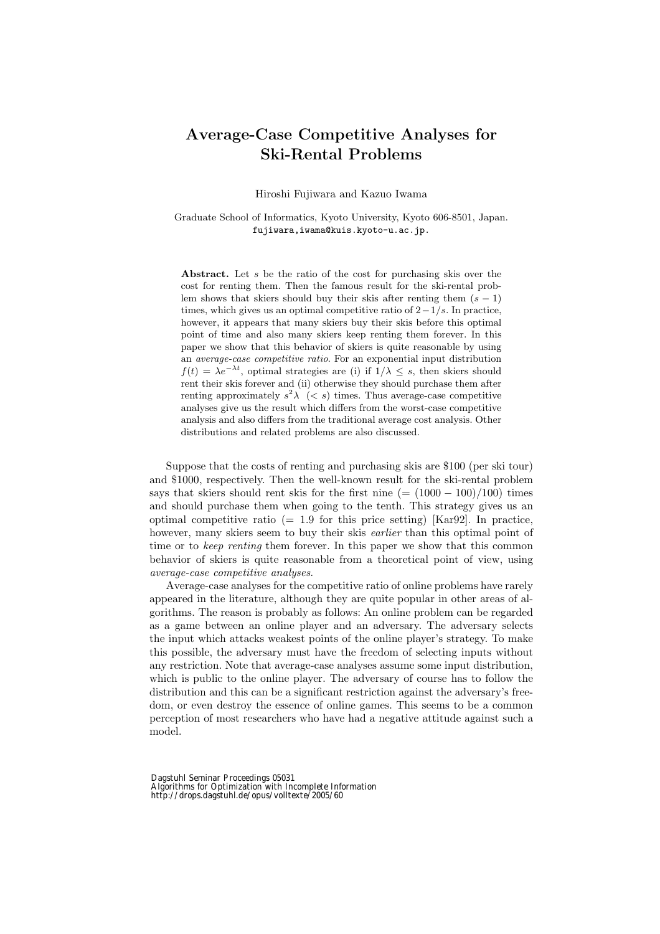## **Average-Case Competitive Analyses for Ski-Rental Problems**

Hiroshi Fujiwara and Kazuo Iwama

Graduate School of Informatics, Kyoto University, Kyoto 606-8501, Japan. fujiwara,iwama@kuis.kyoto-u.ac.jp.

**Abstract.** Let *s* be the ratio of the cost for purchasing skis over the cost for renting them. Then the famous result for the ski-rental problem shows that skiers should buy their skis after renting them  $(s - 1)$ times, which gives us an optimal competitive ratio of 2*−*1*/s*. In practice, however, it appears that many skiers buy their skis before this optimal point of time and also many skiers keep renting them forever. In this paper we show that this behavior of skiers is quite reasonable by using an *average-case competitive ratio*. For an exponential input distribution  $f(t) = \lambda e^{-\lambda t}$ , optimal strategies are (i) if  $1/\lambda \leq s$ , then skiers should rent their skis forever and (ii) otherwise they should purchase them after renting approximately  $s^2\lambda$  ( $\lt s$ ) times. Thus average-case competitive analyses give us the result which differs from the worst-case competitive analysis and also differs from the traditional average cost analysis. Other distributions and related problems are also discussed.

Suppose that the costs of renting and purchasing skis are \$100 (per ski tour) and \$1000, respectively. Then the well-known result for the ski-rental problem says that skiers should rent skis for the first nine  $(=(1000 - 100)/100)$  times and should purchase them when going to the tenth. This strategy gives us an optimal competitive ratio  $(= 1.9$  for this price setting) [Kar92]. In practice, however, many skiers seem to buy their skis *earlier* than this optimal point of time or to *keep renting* them forever. In this paper we show that this common behavior of skiers is quite reasonable from a theoretical point of view, using *average-case competitive analyses*.

Average-case analyses for the competitive ratio of online problems have rarely appeared in the literature, although they are quite popular in other areas of algorithms. The reason is probably as follows: An online problem can be regarded as a game between an online player and an adversary. The adversary selects the input which attacks weakest points of the online player's strategy. To make this possible, the adversary must have the freedom of selecting inputs without any restriction. Note that average-case analyses assume some input distribution, which is public to the online player. The adversary of course has to follow the distribution and this can be a significant restriction against the adversary's freedom, or even destroy the essence of online games. This seems to be a common perception of most researchers who have had a negative attitude against such a model.

Dagstuhl Seminar Proceedings 05031 Algorithms for Optimization with Incomplete Information http://drops.dagstuhl.de/opus/volltexte/2005/60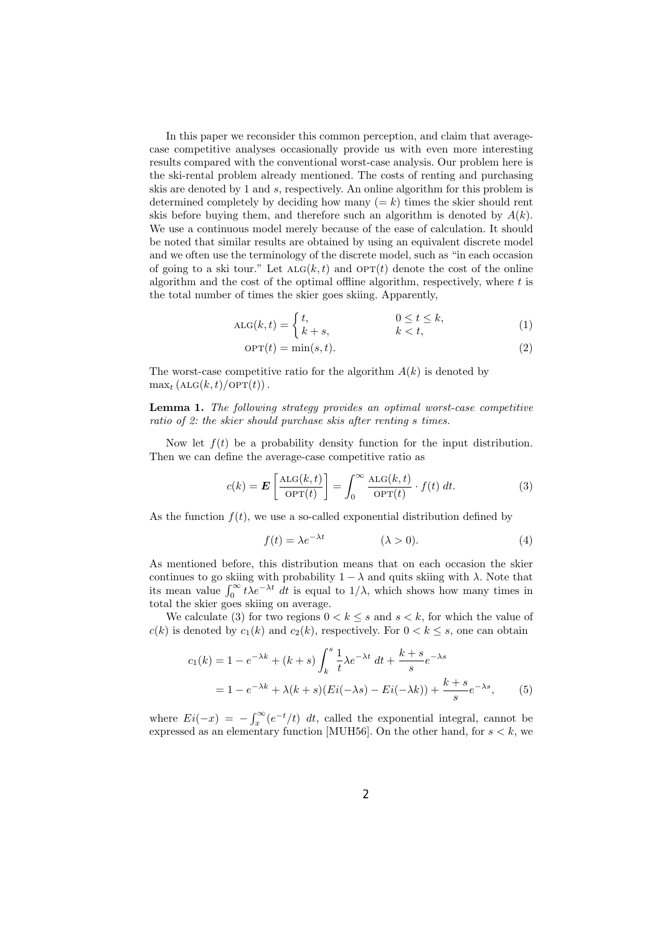In this paper we reconsider this common perception, and claim that averagecase competitive analyses occasionally provide us with even more interesting results compared with the conventional worst-case analysis. Our problem here is the ski-rental problem already mentioned. The costs of renting and purchasing skis are denoted by 1 and *s*, respectively. An online algorithm for this problem is determined completely by deciding how many  $(= k)$  times the skier should rent skis before buying them, and therefore such an algorithm is denoted by  $A(k)$ . We use a continuous model merely because of the ease of calculation. It should be noted that similar results are obtained by using an equivalent discrete model and we often use the terminology of the discrete model, such as "in each occasion of going to a ski tour." Let  $ALG(k, t)$  and  $OPT(t)$  denote the cost of the online algorithm and the cost of the optimal offline algorithm, respectively, where *t* is the total number of times the skier goes skiing. Apparently,

$$
ALG(k,t) = \begin{cases} t, & 0 \le t \le k, \\ k+s, & k < t, \end{cases}
$$
 (1)

$$
OPT(t) = \min(s, t). \tag{2}
$$

The worst-case competitive ratio for the algorithm *A*(*k*) is denoted by  $\max_t (\text{ALG}(k, t) / \text{OPT}(t))$ .

**Lemma 1.** *The following strategy provides an optimal worst-case competitive ratio of 2: the skier should purchase skis after renting s times.*

Now let  $f(t)$  be a probability density function for the input distribution. Then we can define the average-case competitive ratio as

$$
c(k) = \mathbf{E}\left[\frac{\text{ALG}(k,t)}{\text{OPT}(t)}\right] = \int_0^\infty \frac{\text{ALG}(k,t)}{\text{OPT}(t)} \cdot f(t) \, dt. \tag{3}
$$

As the function  $f(t)$ , we use a so-called exponential distribution defined by

$$
f(t) = \lambda e^{-\lambda t} \qquad (\lambda > 0). \tag{4}
$$

As mentioned before, this distribution means that on each occasion the skier continues to go skiing with probability  $1 - \lambda$  and quits skiing with  $\lambda$ . Note that its mean value  $\int_0^\infty t\lambda e^{-\lambda t} dt$  is equal to  $1/\lambda$ , which shows how many times in total the skier goes skiing on average.

We calculate (3) for two regions  $0 < k \leq s$  and  $s < k$ , for which the value of  $c(k)$  is denoted by  $c_1(k)$  and  $c_2(k)$ , respectively. For  $0 < k \leq s$ , one can obtain

$$
c_1(k) = 1 - e^{-\lambda k} + (k+s) \int_k^s \frac{1}{t} \lambda e^{-\lambda t} dt + \frac{k+s}{s} e^{-\lambda s}
$$
  
=  $1 - e^{-\lambda k} + \lambda (k+s) (Ei(-\lambda s) - Ei(-\lambda k)) + \frac{k+s}{s} e^{-\lambda s},$  (5)

where  $Ei(-x) = -\int_x^{\infty} (e^{-t}/t) dt$ , called the exponential integral, cannot be expressed as an elementary function [MUH56]. On the other hand, for  $s < k$ , we